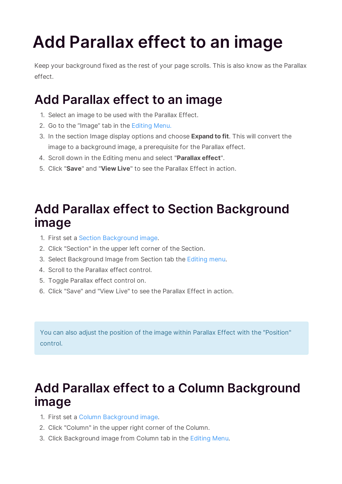## **Add Parallax effect to an image**

Keep your background fixed as the rest of your page scrolls. This is also know as the Parallax effect.

## **Add Parallax effect to an image**

- 1. Select an image to be used with the Parallax Effect.
- 2. Go to the "Image" tab in the Editing Menu.
- 3. In the section Image display options and choose **Expand to fit**. This will convert the image to a background image, a prerequisite for the Parallax effect.
- 4. Scroll down in the Editing menu and select "**Parallax effect**".
- 5. Click "**Save**" and "**View Live**" to see the Parallax Effect in action.

## **Add Parallax effect to Section Background image**

- 1. First set a Section Background image.
- 2. Click "Section" in the upper left corner of the Section.
- 3. Select Background Image from Section tab the Editing menu.
- 4. Scroll to the Parallax effect control.
- 5. Toggle Parallax effect control on.
- 6. Click "Save" and "View Live" to see the Parallax Effect in action.

You can also adjust the position of the image within Parallax Effect with the "Position" control.

## **Add Parallax effect to a Column Background image**

- 1. First set a Column Background image.
- 2. Click "Column" in the upper right corner of the Column.
- 3. Click Background image from Column tab in the Editing Menu.